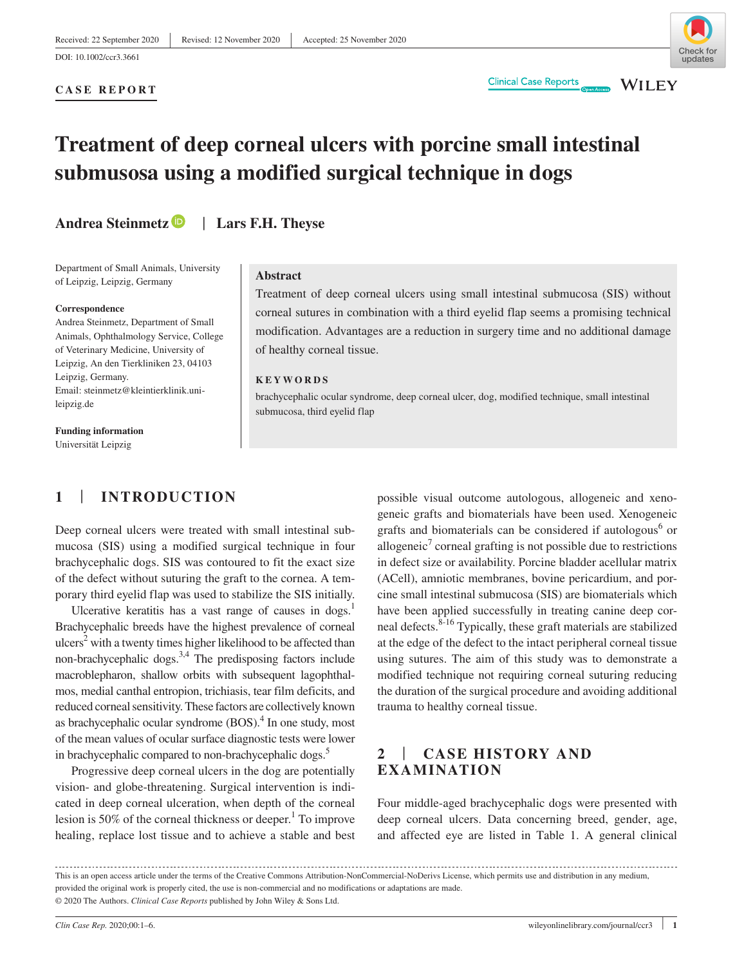DOI: 10.1002/ccr3.3661



**WILEY** 

#### **CASE REPORT**

# **Treatment of deep corneal ulcers with porcine small intestinal submusosa using a modified surgical technique in dogs**

**Andrea Steinmetz** | **Lars F.H. Theyse**

Department of Small Animals, University of Leipzig, Leipzig, Germany

#### **Correspondence**

Andrea Steinmetz, Department of Small Animals, Ophthalmology Service, College of Veterinary Medicine, University of Leipzig, An den Tierkliniken 23, 04103 Leipzig, Germany. Email: [steinmetz@kleintierklinik.uni](mailto:steinmetz@kleintierklinik.uni-leipzig.de)[leipzig.de](mailto:steinmetz@kleintierklinik.uni-leipzig.de)

**Funding information** Universität Leipzig

## **Abstract**

Treatment of deep corneal ulcers using small intestinal submucosa (SIS) without corneal sutures in combination with a third eyelid flap seems a promising technical modification. Advantages are a reduction in surgery time and no additional damage of healthy corneal tissue.

## **KEYWORDS**

brachycephalic ocular syndrome, deep corneal ulcer, dog, modified technique, small intestinal submucosa, third eyelid flap

# **1** | **INTRODUCTION**

Deep corneal ulcers were treated with small intestinal submucosa (SIS) using a modified surgical technique in four brachycephalic dogs. SIS was contoured to fit the exact size of the defect without suturing the graft to the cornea. A temporary third eyelid flap was used to stabilize the SIS initially.

Ulcerative keratitis has a vast range of causes in  $\log s$ .<sup>1</sup> Brachycephalic breeds have the highest prevalence of corneal  $ulcers<sup>2</sup>$  with a twenty times higher likelihood to be affected than non-brachycephalic dogs. $3,4$  The predisposing factors include macroblepharon, shallow orbits with subsequent lagophthalmos, medial canthal entropion, trichiasis, tear film deficits, and reduced corneal sensitivity. These factors are collectively known as brachycephalic ocular syndrome (BOS).<sup>4</sup> In one study, most of the mean values of ocular surface diagnostic tests were lower in brachycephalic compared to non-brachycephalic dogs.<sup>5</sup>

Progressive deep corneal ulcers in the dog are potentially vision- and globe-threatening. Surgical intervention is indicated in deep corneal ulceration, when depth of the corneal lesion is 50% of the corneal thickness or deeper.<sup>1</sup> To improve healing, replace lost tissue and to achieve a stable and best

possible visual outcome autologous, allogeneic and xenogeneic grafts and biomaterials have been used. Xenogeneic grafts and biomaterials can be considered if autologous<sup>6</sup> or allogeneic<sup>7</sup> corneal grafting is not possible due to restrictions in defect size or availability. Porcine bladder acellular matrix (ACell), amniotic membranes, bovine pericardium, and porcine small intestinal submucosa (SIS) are biomaterials which have been applied successfully in treating canine deep corneal defects.8-16 Typically, these graft materials are stabilized at the edge of the defect to the intact peripheral corneal tissue using sutures. The aim of this study was to demonstrate a modified technique not requiring corneal suturing reducing the duration of the surgical procedure and avoiding additional trauma to healthy corneal tissue.

## **2** | **CASE HISTORY AND EXAMINATION**

Four middle-aged brachycephalic dogs were presented with deep corneal ulcers. Data concerning breed, gender, age, and affected eye are listed in Table 1. A general clinical

This is an open access article under the terms of the [Creative Commons Attribution-NonCommercial-NoDerivs](http://creativecommons.org/licenses/by-nc-nd/4.0/) License, which permits use and distribution in any medium, provided the original work is properly cited, the use is non-commercial and no modifications or adaptations are made. © 2020 The Authors. *Clinical Case Reports* published by John Wiley & Sons Ltd.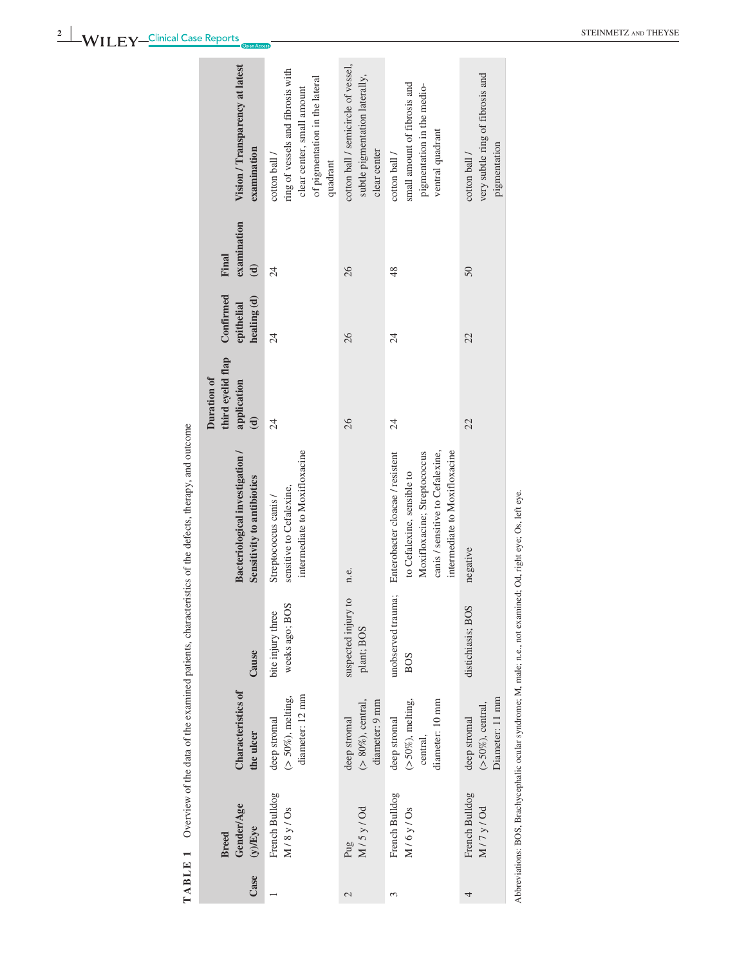|                                  | ; |
|----------------------------------|---|
|                                  |   |
|                                  |   |
|                                  | ξ |
|                                  |   |
|                                  |   |
|                                  |   |
|                                  |   |
| $\tilde{\phantom{0}}$            |   |
|                                  |   |
|                                  |   |
| ¢                                |   |
| ataat                            |   |
|                                  |   |
| i                                |   |
| i<br>1                           |   |
|                                  |   |
|                                  |   |
|                                  |   |
|                                  |   |
|                                  |   |
|                                  |   |
|                                  |   |
| í                                |   |
| <b>CONTI</b>                     |   |
| <b>DIANEW OI</b><br><b>NIGHT</b> |   |
|                                  |   |
| I                                | f |
| TABLE                            |   |
|                                  |   |

|                                         | Vision / Transparency at latest<br>examination                | ring of vessels and fibrosis with<br>of pigmentation in the lateral<br>clear center, small amount<br>cotton ball /<br>quadrant | cotton ball / semicircle of vessel,<br>subtle pigmentation laterally,<br>clear center | small amount of fibrosis and<br>pigmentation in the medio-<br>ventral quadrant<br>cotton ball /                                                                     | very subtle ring of fibrosis and<br>pigmentation<br>cotton ball / |                      |
|-----------------------------------------|---------------------------------------------------------------|--------------------------------------------------------------------------------------------------------------------------------|---------------------------------------------------------------------------------------|---------------------------------------------------------------------------------------------------------------------------------------------------------------------|-------------------------------------------------------------------|----------------------|
| Final                                   | examination<br>$\mathbf{d}$                                   | 24                                                                                                                             | 26                                                                                    | 48                                                                                                                                                                  | 50                                                                |                      |
| Confirmed                               | healing (d)<br>epithelial                                     | $\overline{\mathcal{A}}$                                                                                                       | 26                                                                                    | $\overline{24}$                                                                                                                                                     | 22                                                                |                      |
| third eyelid flap<br><b>Duration of</b> | application<br>$\widehat{\mathbf{d}}$                         | $\overline{24}$                                                                                                                | 26                                                                                    | $\overline{24}$                                                                                                                                                     | 22                                                                |                      |
|                                         | Bacteriological investigation /<br>Sensitivity to antibiotics | intermediate to Moxifloxacine<br>sensitive to Cefalexine,<br>Streptococcus canis /                                             | n.e.                                                                                  | canis / sensitive to Cefalexine,<br>intermediate to Moxifloxacine<br>Moxifloxacine; Streptococcus<br>Enterobacter cloacae / resistent<br>to Cefalexine, sensible to | negative                                                          | $-7 - 7 = 1$         |
|                                         | Cause                                                         | weeks ago; BOS<br>bite injury three                                                                                            | suspected injury to<br>plant; BOS                                                     | unobserved trauma;<br><b>BOS</b>                                                                                                                                    | distichiasis; BOS                                                 |                      |
|                                         | <b>Characteristics of</b><br>the ulcer                        | diameter: 12 mm<br>$($ > 50%), melting,<br>deep stromal                                                                        | $(>80\%)$ , central,<br>diameter: 9 mm<br>deep stromal                                | $(>50\%)$ , melting,<br>diameter: 10 mm<br>deep stromal<br>central,                                                                                                 | Diameter: 11 mm<br>$(>50\%)$ , central,<br>deep stromal           | $\ddot{\cdot}$       |
| <b>Breed</b>                            | <b>Gender/Age</b><br>$(y)$ Eye                                | French Bulldog<br>M/8y/Os                                                                                                      | M/5y/Od<br>Pug                                                                        | French Bulldog<br>M/6y/Os                                                                                                                                           | French Bulldog<br>M/7y/0d                                         |                      |
|                                         | Case                                                          |                                                                                                                                | $\mathcal{L}$                                                                         | 3                                                                                                                                                                   | 4                                                                 | $\ddot{\phantom{0}}$ |

Abbreviations: BOS, Brachycephalic ocular syndrome; M, male; n.e., not examined; Od, right eye; Os, left eye. Abbreviations: BOS, Brachycephalic ocular syndrome; M, male; n.e., not examined; Od, right eye; Os, left eye.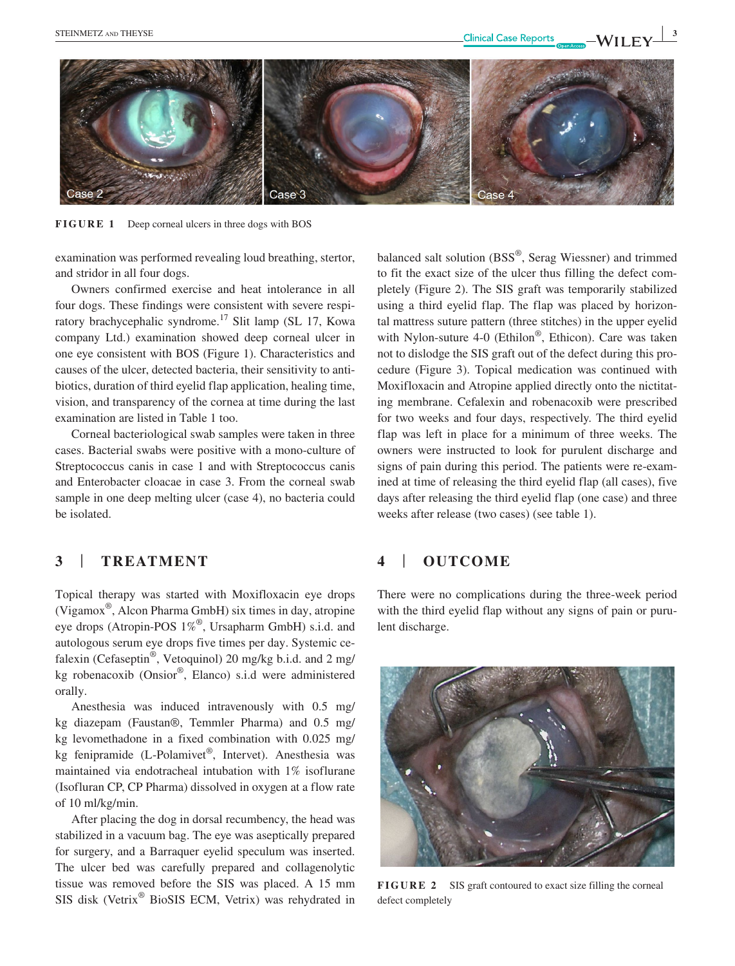

**FIGURE 1** Deep corneal ulcers in three dogs with BOS

examination was performed revealing loud breathing, stertor, and stridor in all four dogs.

Owners confirmed exercise and heat intolerance in all four dogs. These findings were consistent with severe respiratory brachycephalic syndrome.17 Slit lamp (SL 17, Kowa company Ltd.) examination showed deep corneal ulcer in one eye consistent with BOS (Figure 1). Characteristics and causes of the ulcer, detected bacteria, their sensitivity to antibiotics, duration of third eyelid flap application, healing time, vision, and transparency of the cornea at time during the last examination are listed in Table 1 too.

Corneal bacteriological swab samples were taken in three cases. Bacterial swabs were positive with a mono-culture of Streptococcus canis in case 1 and with Streptococcus canis and Enterobacter cloacae in case 3. From the corneal swab sample in one deep melting ulcer (case 4), no bacteria could be isolated.

## **3** | **TREATMENT**

Topical therapy was started with Moxifloxacin eye drops (Vigamox®, Alcon Pharma GmbH) six times in day, atropine eye drops (Atropin-POS 1%®, Ursapharm GmbH) s.i.d. and autologous serum eye drops five times per day. Systemic cefalexin (Cefaseptin®, Vetoquinol) 20 mg/kg b.i.d. and 2 mg/ kg robenacoxib (Onsior®, Elanco) s.i.d were administered orally.

Anesthesia was induced intravenously with 0.5 mg/ kg diazepam (Faustan®, Temmler Pharma) and 0.5 mg/ kg levomethadone in a fixed combination with 0.025 mg/ kg fenipramide (L-Polamivet®, Intervet). Anesthesia was maintained via endotracheal intubation with 1% isoflurane (Isofluran CP, CP Pharma) dissolved in oxygen at a flow rate of 10 ml/kg/min.

After placing the dog in dorsal recumbency, the head was stabilized in a vacuum bag. The eye was aseptically prepared for surgery, and a Barraquer eyelid speculum was inserted. The ulcer bed was carefully prepared and collagenolytic tissue was removed before the SIS was placed. A 15 mm SIS disk (Vetrix® BioSIS ECM, Vetrix) was rehydrated in

balanced salt solution (BSS®, Serag Wiessner) and trimmed to fit the exact size of the ulcer thus filling the defect completely (Figure 2). The SIS graft was temporarily stabilized using a third eyelid flap. The flap was placed by horizontal mattress suture pattern (three stitches) in the upper eyelid with Nylon-suture 4-0 (Ethilon®, Ethicon). Care was taken not to dislodge the SIS graft out of the defect during this procedure (Figure 3). Topical medication was continued with Moxifloxacin and Atropine applied directly onto the nictitating membrane. Cefalexin and robenacoxib were prescribed for two weeks and four days, respectively. The third eyelid flap was left in place for a minimum of three weeks. The owners were instructed to look for purulent discharge and signs of pain during this period. The patients were re-examined at time of releasing the third eyelid flap (all cases), five days after releasing the third eyelid flap (one case) and three weeks after release (two cases) (see table 1).

## **4** | **OUTCOME**

There were no complications during the three-week period with the third eyelid flap without any signs of pain or purulent discharge.



**FIGURE 2** SIS graft contoured to exact size filling the corneal defect completely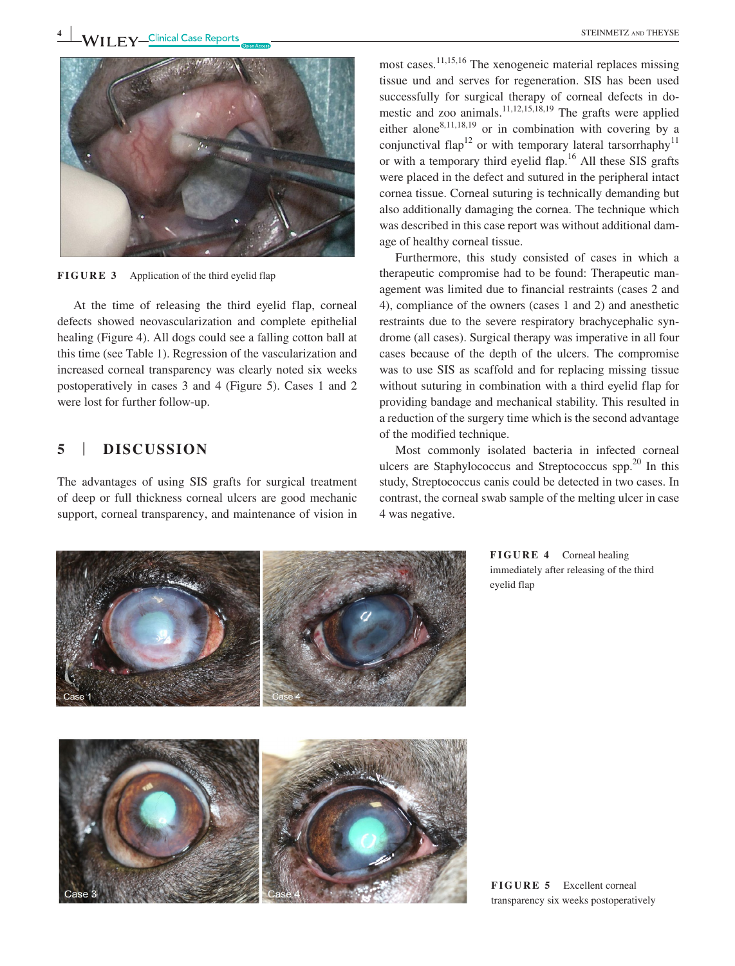

**FIGURE 3** Application of the third eyelid flap

At the time of releasing the third eyelid flap, corneal defects showed neovascularization and complete epithelial healing (Figure 4). All dogs could see a falling cotton ball at this time (see Table 1). Regression of the vascularization and increased corneal transparency was clearly noted six weeks postoperatively in cases 3 and 4 (Figure 5). Cases 1 and 2 were lost for further follow-up.

## **5** | **DISCUSSION**

The advantages of using SIS grafts for surgical treatment of deep or full thickness corneal ulcers are good mechanic support, corneal transparency, and maintenance of vision in

most cases.<sup>11,15,16</sup> The xenogeneic material replaces missing tissue und and serves for regeneration. SIS has been used successfully for surgical therapy of corneal defects in domestic and zoo animals.<sup>11,12,15,18,19</sup> The grafts were applied either alone<sup>8,11,18,19</sup> or in combination with covering by a conjunctival flap<sup>12</sup> or with temporary lateral tarsorrhaphy<sup>11</sup> or with a temporary third eyelid flap.16 All these SIS grafts were placed in the defect and sutured in the peripheral intact cornea tissue. Corneal suturing is technically demanding but also additionally damaging the cornea. The technique which was described in this case report was without additional damage of healthy corneal tissue.

Furthermore, this study consisted of cases in which a therapeutic compromise had to be found: Therapeutic management was limited due to financial restraints (cases 2 and 4), compliance of the owners (cases 1 and 2) and anesthetic restraints due to the severe respiratory brachycephalic syndrome (all cases). Surgical therapy was imperative in all four cases because of the depth of the ulcers. The compromise was to use SIS as scaffold and for replacing missing tissue without suturing in combination with a third eyelid flap for providing bandage and mechanical stability. This resulted in a reduction of the surgery time which is the second advantage of the modified technique.

Most commonly isolated bacteria in infected corneal ulcers are Staphylococcus and Streptococcus spp. $^{20}$  In this study, Streptococcus canis could be detected in two cases. In contrast, the corneal swab sample of the melting ulcer in case 4 was negative.



**FIGURE 4** Corneal healing immediately after releasing of the third eyelid flap

**FIGURE 5** Excellent corneal transparency six weeks postoperatively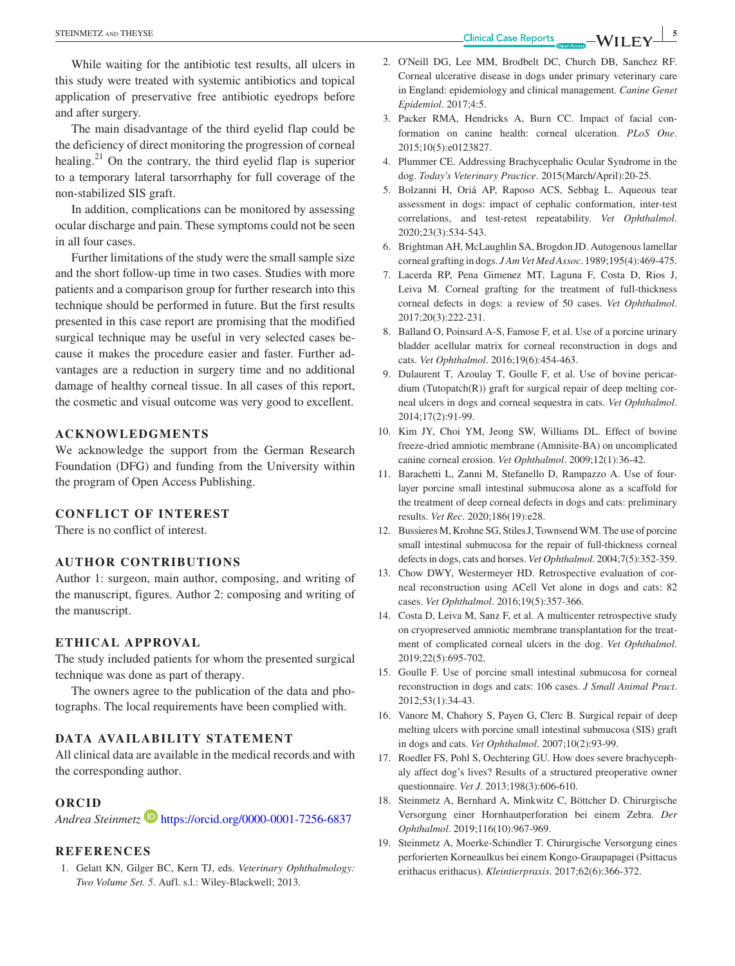While waiting for the antibiotic test results, all ulcers in this study were treated with systemic antibiotics and topical application of preservative free antibiotic eyedrops before and after surgery.

The main disadvantage of the third eyelid flap could be the deficiency of direct monitoring the progression of corneal healing.<sup>21</sup> On the contrary, the third eyelid flap is superior to a temporary lateral tarsorrhaphy for full coverage of the non-stabilized SIS graft.

In addition, complications can be monitored by assessing ocular discharge and pain. These symptoms could not be seen in all four cases.

Further limitations of the study were the small sample size and the short follow-up time in two cases. Studies with more patients and a comparison group for further research into this technique should be performed in future. But the first results presented in this case report are promising that the modified surgical technique may be useful in very selected cases because it makes the procedure easier and faster. Further advantages are a reduction in surgery time and no additional damage of healthy corneal tissue. In all cases of this report, the cosmetic and visual outcome was very good to excellent.

## **ACKNOWLEDGMENTS**

We acknowledge the support from the German Research Foundation (DFG) and funding from the University within the program of Open Access Publishing.

## **CONFLICT OF INTEREST**

There is no conflict of interest.

## **AUTHOR CONTRIBUTIONS**

Author 1: surgeon, main author, composing, and writing of the manuscript, figures. Author 2: composing and writing of the manuscript.

#### **ETHICAL APPROVAL**

The study included patients for whom the presented surgical technique was done as part of therapy.

The owners agree to the publication of the data and photographs. The local requirements have been complied with.

## **DATA AVAILABILITY STATEMENT**

All clinical data are available in the medical records and with the corresponding author.

## **ORCID**

*Andrea Steinmetz* <https://orcid.org/0000-0001-7256-6837>

## **REFERENCES**

1. Gelatt KN, Gilger BC, Kern TJ, eds. *Veterinary Ophthalmology: Two Volume Set. 5*. Aufl. s.l.: Wiley-Blackwell; 2013.

- 2. O'Neill DG, Lee MM, Brodbelt DC, Church DB, Sanchez RF. Corneal ulcerative disease in dogs under primary veterinary care in England: epidemiology and clinical management. *Canine Genet Epidemiol*. 2017;4:5.
- 3. Packer RMA, Hendricks A, Burn CC. Impact of facial conformation on canine health: corneal ulceration. *PLoS One*. 2015;10(5):e0123827.
- 4. Plummer CE. Addressing Brachycephalic Ocular Syndrome in the dog. *Today's Veterinary Practice*. 2015(March/April):20-25.
- 5. Bolzanni H, Oriá AP, Raposo ACS, Sebbag L. Aqueous tear assessment in dogs: impact of cephalic conformation, inter-test correlations, and test-retest repeatability. *Vet Ophthalmol*. 2020;23(3):534-543.
- 6. Brightman AH, McLaughlin SA, Brogdon JD. Autogenous lamellar corneal grafting in dogs. *J Am Vet Med Assoc*. 1989;195(4):469-475.
- 7. Lacerda RP, Pena Gimenez MT, Laguna F, Costa D, Rios J, Leiva M. Corneal grafting for the treatment of full-thickness corneal defects in dogs: a review of 50 cases. *Vet Ophthalmol*. 2017;20(3):222-231.
- 8. Balland O, Poinsard A-S, Famose F, et al. Use of a porcine urinary bladder acellular matrix for corneal reconstruction in dogs and cats. *Vet Ophthalmol*. 2016;19(6):454-463.
- 9. Dulaurent T, Azoulay T, Goulle F, et al. Use of bovine pericardium (Tutopatch(R)) graft for surgical repair of deep melting corneal ulcers in dogs and corneal sequestra in cats. *Vet Ophthalmol*. 2014;17(2):91-99.
- 10. Kim JY, Choi YM, Jeong SW, Williams DL. Effect of bovine freeze-dried amniotic membrane (Amnisite-BA) on uncomplicated canine corneal erosion. *Vet Ophthalmol*. 2009;12(1):36-42.
- 11. Barachetti L, Zanni M, Stefanello D, Rampazzo A. Use of fourlayer porcine small intestinal submucosa alone as a scaffold for the treatment of deep corneal defects in dogs and cats: preliminary results. *Vet Rec*. 2020;186(19):e28.
- 12. Bussieres M, Krohne SG, Stiles J, Townsend WM. The use of porcine small intestinal submucosa for the repair of full-thickness corneal defects in dogs, cats and horses. *Vet Ophthalmol*. 2004;7(5):352-359.
- 13. Chow DWY, Westermeyer HD. Retrospective evaluation of corneal reconstruction using ACell Vet alone in dogs and cats: 82 cases. *Vet Ophthalmol*. 2016;19(5):357-366.
- 14. Costa D, Leiva M, Sanz F, et al. A multicenter retrospective study on cryopreserved amniotic membrane transplantation for the treatment of complicated corneal ulcers in the dog. *Vet Ophthalmol*. 2019;22(5):695-702.
- 15. Goulle F. Use of porcine small intestinal submucosa for corneal reconstruction in dogs and cats: 106 cases. *J Small Animal Pract*. 2012;53(1):34-43.
- 16. Vanore M, Chahory S, Payen G, Clerc B. Surgical repair of deep melting ulcers with porcine small intestinal submucosa (SIS) graft in dogs and cats. *Vet Ophthalmol*. 2007;10(2):93-99.
- 17. Roedler FS, Pohl S, Oechtering GU. How does severe brachycephaly affect dog's lives? Results of a structured preoperative owner questionnaire. *Vet J*. 2013;198(3):606-610.
- 18. Steinmetz A, Bernhard A, Minkwitz C, Böttcher D. Chirurgische Versorgung einer Hornhautperforation bei einem Zebra. *Der Ophthalmol*. 2019;116(10):967-969.
- 19. Steinmetz A, Moerke-Schindler T. Chirurgische Versorgung eines perforierten Korneaulkus bei einem Kongo-Graupapagei (Psittacus erithacus erithacus). *Kleintierpraxis*. 2017;62(6):366-372.